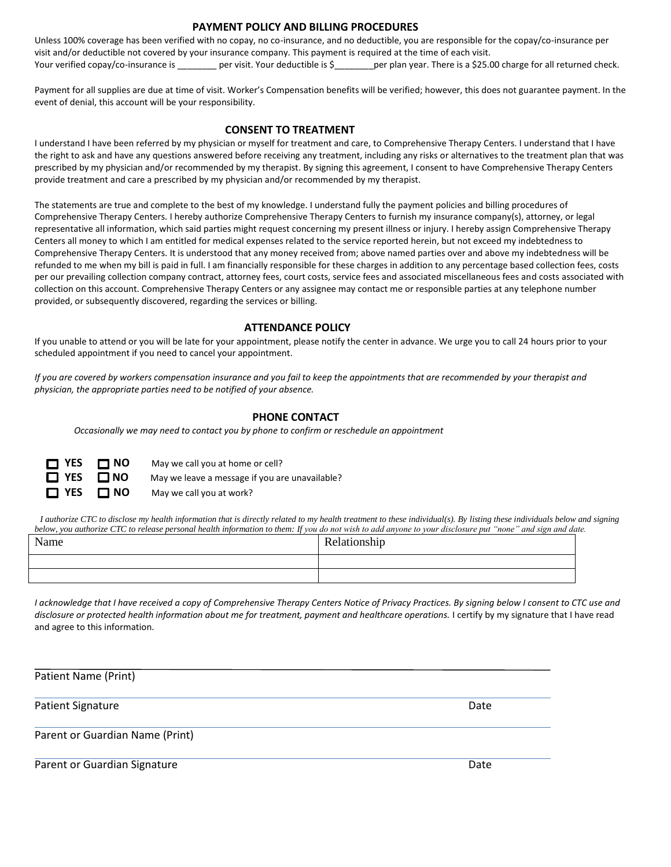### **PAYMENT POLICY AND BILLING PROCEDURES**

Unless 100% coverage has been verified with no copay, no co-insurance, and no deductible, you are responsible for the copay/co-insurance per visit and/or deductible not covered by your insurance company. This payment is required at the time of each visit. Your verified copay/co-insurance is \_\_\_\_\_\_\_\_ per visit. Your deductible is \$\_\_\_\_\_\_\_per plan year. There is a \$25.00 charge for all returned check.

Payment for all supplies are due at time of visit. Worker's Compensation benefits will be verified; however, this does not guarantee payment. In the event of denial, this account will be your responsibility.

#### **CONSENT TO TREATMENT**

I understand I have been referred by my physician or myself for treatment and care, to Comprehensive Therapy Centers. I understand that I have the right to ask and have any questions answered before receiving any treatment, including any risks or alternatives to the treatment plan that was prescribed by my physician and/or recommended by my therapist. By signing this agreement, I consent to have Comprehensive Therapy Centers provide treatment and care a prescribed by my physician and/or recommended by my therapist.

The statements are true and complete to the best of my knowledge. I understand fully the payment policies and billing procedures of Comprehensive Therapy Centers. I hereby authorize Comprehensive Therapy Centers to furnish my insurance company(s), attorney, or legal representative all information, which said parties might request concerning my present illness or injury. I hereby assign Comprehensive Therapy Centers all money to which I am entitled for medical expenses related to the service reported herein, but not exceed my indebtedness to Comprehensive Therapy Centers. It is understood that any money received from; above named parties over and above my indebtedness will be refunded to me when my bill is paid in full. I am financially responsible for these charges in addition to any percentage based collection fees, costs per our prevailing collection company contract, attorney fees, court costs, service fees and associated miscellaneous fees and costs associated with collection on this account. Comprehensive Therapy Centers or any assignee may contact me or responsible parties at any telephone number provided, or subsequently discovered, regarding the services or billing.

### **ATTENDANCE POLICY**

If you unable to attend or you will be late for your appointment, please notify the center in advance. We urge you to call 24 hours prior to your scheduled appointment if you need to cancel your appointment.

*If you are covered by workers compensation insurance and you fail to keep the appointments that are recommended by your therapist and physician, the appropriate parties need to be notified of your absence.*

### **PHONE CONTACT**

*Occasionally we may need to contact you by phone to confirm or reschedule an appointment*

| $\Box$ YES $\Box$ NO | May we call you at home or cell?               |
|----------------------|------------------------------------------------|
| $\Box$ YES $\Box$ NO | May we leave a message if you are unavailable? |
| $\Box$ YES $\Box$ NO | May we call you at work?                       |

 *I authorize CTC to disclose my health information that is directly related to my health treatment to these individual(s). By listing these individuals below and signing below, you authorize CTC to release personal health information to them: If you do not wish to add anyone to your disclosure put "none" and sign and date.* 

| Name | Relationship |  |
|------|--------------|--|
|      |              |  |
|      |              |  |

I acknowledge that I have received a copy of Comprehensive Therapy Centers Notice of Privacy Practices. By signing below I consent to CTC use and *disclosure or protected health information about me for treatment, payment and healthcare operations.* I certify by my signature that I have read and agree to this information.

| Patient Name (Print)            |      |
|---------------------------------|------|
| Patient Signature               | Date |
| Parent or Guardian Name (Print) |      |
| Parent or Guardian Signature    | Date |